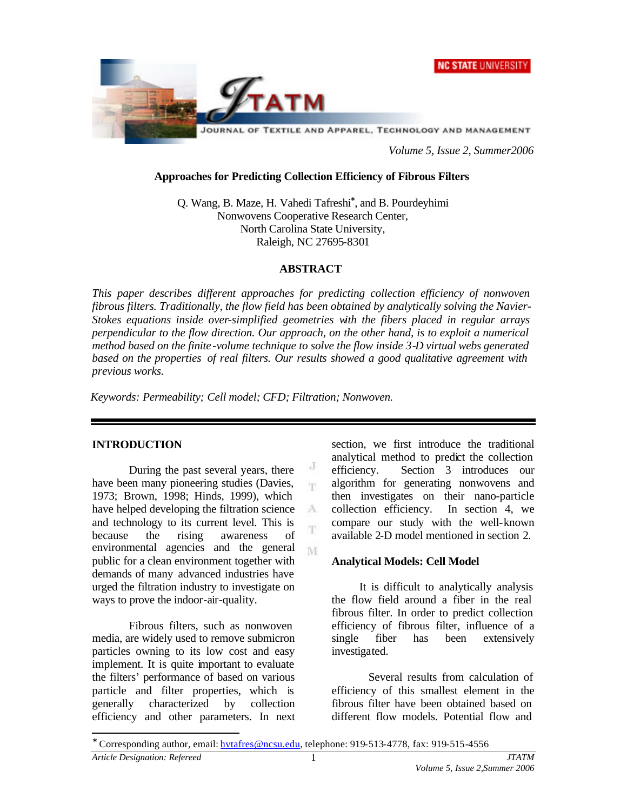



*Volume 5, Issue 2, Summer2006*

### **Approaches for Predicting Collection Efficiency of Fibrous Filters**

Q. Wang, B. Maze, H. Vahedi Tafreshi<sup>∗</sup> , and B. Pourdeyhimi Nonwovens Cooperative Research Center, North Carolina State University, Raleigh, NC 27695-8301

### **ABSTRACT**

*This paper describes different approaches for predicting collection efficiency of nonwoven fibrous filters. Traditionally, the flow field has been obtained by analytically solving the Navier-Stokes equations inside over-simplified geometries with the fibers placed in regular arrays perpendicular to the flow direction. Our approach, on the other hand, is to exploit a numerical method based on the finite -volume technique to solve the flow inside 3-D virtual webs generated based on the properties of real filters. Our results showed a good qualitative agreement with previous works.* 

> J m

 $\Lambda$ 

M

*Keywords: Permeability; Cell model; CFD; Filtration; Nonwoven.*

# **INTRODUCTION**

l

During the past several years, there have been many pioneering studies (Davies, 1973; Brown, 1998; Hinds, 1999), which have helped developing the filtration science and technology to its current level. This is because the rising awareness of environmental agencies and the general public for a clean environment together with demands of many advanced industries have urged the filtration industry to investigate on ways to prove the indoor-air-quality.

Fibrous filters, such as nonwoven media, are widely used to remove submicron particles owning to its low cost and easy implement. It is quite important to evaluate the filters' performance of based on various particle and filter properties, which is generally characterized by collection efficiency and other parameters. In next section, we first introduce the traditional analytical method to predict the collection efficiency. Section 3 introduces our algorithm for generating nonwovens and then investigates on their nano-particle collection efficiency. In section 4, we compare our study with the well-known available 2-D model mentioned in section 2.

# **Analytical Models: Cell Model**

It is difficult to analytically analysis the flow field around a fiber in the real fibrous filter. In order to predict collection efficiency of fibrous filter, influence of a single fiber has been extensively investigated.

Several results from calculation of efficiency of this smallest element in the fibrous filter have been obtained based on different flow models. Potential flow and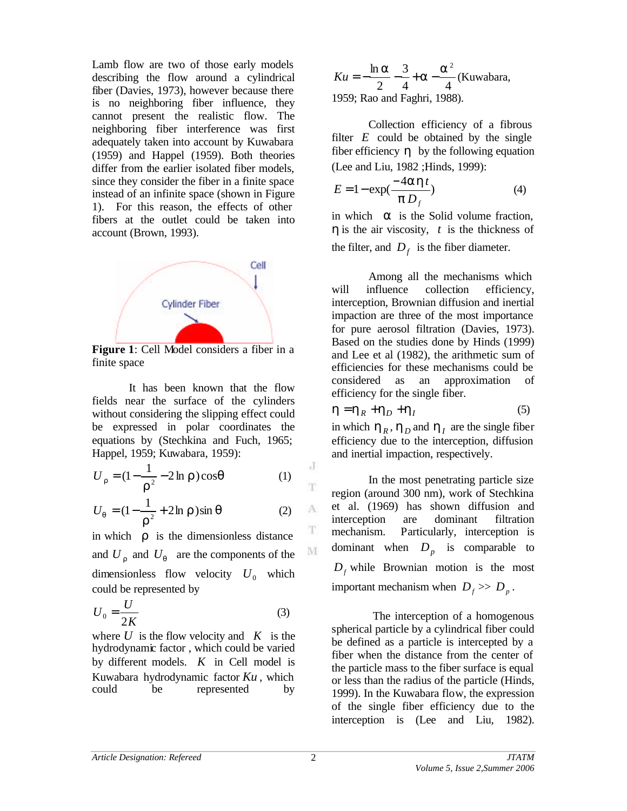Lamb flow are two of those early models describing the flow around a cylindrical fiber (Davies, 1973), however because there is no neighboring fiber influence, they cannot present the realistic flow. The neighboring fiber interference was first adequately taken into account by Kuwabara (1959) and Happel (1959). Both theories differ from the earlier isolated fiber models, since they consider the fiber in a finite space instead of an infinite space (shown in Figure 1). For this reason, the effects of other fibers at the outlet could be taken into account (Brown, 1993).



**Figure 1**: Cell Model considers a fiber in a finite space

It has been known that the flow fields near the surface of the cylinders without considering the slipping effect could be expressed in polar coordinates the equations by (Stechkina and Fuch, 1965; Happel, 1959; Kuwabara, 1959):

$$
U_r = (1 - \frac{1}{r^2} - 2 \ln r) \cos q \tag{1}
$$

$$
U_q = (1 - \frac{1}{r^2} + 2\ln r)\sin q
$$
 (2)

in which  $\boldsymbol{r}$  is the dimensionless distance and  $U_r$  and  $U_q$  are the components of the dimensionless flow velocity  $U_0$  which could be represented by

$$
U_0 = \frac{U}{2K} \tag{3}
$$

where  $U$  is the flow velocity and  $K$  is the hydrodynamic factor , which could be varied by different models. *K* in Cell model is Kuwabara hydrodynamic factor *Ku* , which could be represented by

4 4 3 2  $Ku = -\frac{\ln a}{2} - \frac{3}{4} + a - \frac{a^2}{4}$ (Kuwabara, 1959; Rao and Faghri, 1988).

Collection efficiency of a fibrous filter  $E$  could be obtained by the single fiber efficiency *h* by the following equation (Lee and Liu, 1982 ;Hinds, 1999):

$$
E = 1 - \exp(\frac{-4aht}{p D_f})
$$
 (4)

in which *a* is the Solid volume fraction, *h* is the air viscosity, *t* is the thickness of the filter, and  $D_f$  is the fiber diameter.

Among all the mechanisms which will influence collection efficiency, interception, Brownian diffusion and inertial impaction are three of the most importance for pure aerosol filtration (Davies, 1973). Based on the studies done by Hinds (1999) and Lee et al (1982), the arithmetic sum of efficiencies for these mechanisms could be considered as an approximation of efficiency for the single fiber.

$$
\boldsymbol{h} = \boldsymbol{h}_R + \boldsymbol{h}_D + \boldsymbol{h}_I \tag{5}
$$

in which  $h_R$ ,  $h_D$  and  $h_I$  are the single fiber efficiency due to the interception, diffusion and inertial impaction, respectively.

In the most penetrating particle size region (around 300 nm), work of Stechkina et al. (1969) has shown diffusion and interception are dominant filtration mechanism. Particularly, interception is dominant when  $D_p$  is comparable to  $D_f$  while Brownian motion is the most important mechanism when  $D_f \gg D_p$ .

 The interception of a homogenous spherical particle by a cylindrical fiber could be defined as a particle is intercepted by a fiber when the distance from the center of the particle mass to the fiber surface is equal or less than the radius of the particle (Hinds, 1999). In the Kuwabara flow, the expression of the single fiber efficiency due to the interception is (Lee and Liu, 1982).

J

T

A

T

 $\mathbf{M}$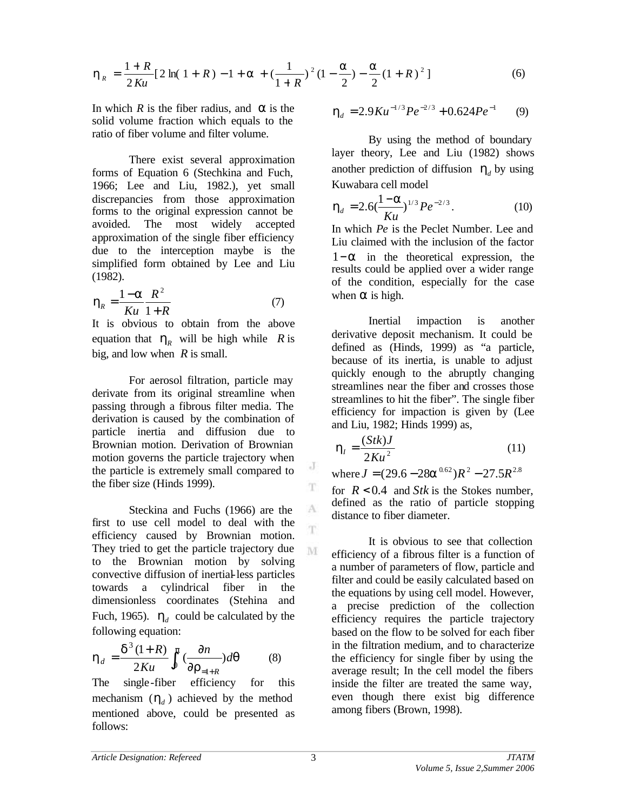$$
\mathbf{h}_R = \frac{1+R}{2Ku} \left[ 2\ln(1+R) - 1 + \mathbf{a} + \left( \frac{1}{1+R} \right)^2 (1-\frac{\mathbf{a}}{2}) - \frac{\mathbf{a}}{2} (1+R)^2 \right] \tag{6}
$$

In which *R* is the fiber radius, and *a* is the solid volume fraction which equals to the ratio of fiber volume and filter volume.

There exist several approximation forms of Equation 6 (Stechkina and Fuch, 1966; Lee and Liu, 1982.), yet small discrepancies from those approximation forms to the original expression cannot be avoided. The most widely accepted approximation of the single fiber efficiency due to the interception maybe is the simplified form obtained by Lee and Liu (1982).

$$
\boldsymbol{h}_R = \frac{1-\boldsymbol{a}}{Ku} \frac{R^2}{1+R} \tag{7}
$$

It is obvious to obtain from the above equation that  $h_R$  will be high while R is big, and low when *R* is small.

For aerosol filtration, particle may derivate from its original streamline when passing through a fibrous filter media. The derivation is caused by the combination of particle inertia and diffusion due to Brownian motion. Derivation of Brownian motion governs the particle trajectory when the particle is extremely small compared to the fiber size (Hinds 1999).

Steckina and Fuchs (1966) are the first to use cell model to deal with the efficiency caused by Brownian motion. They tried to get the particle trajectory due to the Brownian motion by solving convective diffusion of inertial-less particles towards a cylindrical fiber in the dimensionless coordinates (Stehina and Fuch, 1965).  $h_d$  could be calculated by the following equation:

$$
\boldsymbol{h}_d = \frac{\boldsymbol{d}^3 (1+R)}{2Ku} \int_0^p \left(\frac{\partial n}{\partial \boldsymbol{r}_{=1+R}}\right) d\boldsymbol{q} \tag{8}
$$

The single-fiber efficiency for this mechanism  $(h_d)$  achieved by the method mentioned above, could be presented as follows:

$$
\mathbf{h}_d = 2.9 Ku^{-1/3} Pe^{-2/3} + 0.624 Pe^{-1} \tag{9}
$$

By using the method of boundary layer theory, Lee and Liu (1982) shows another prediction of diffusion  $h_d$  by using Kuwabara cell model

$$
\mathbf{h}_d = 2.6(\frac{1-\mathbf{a}}{Ku})^{1/3} Pe^{-2/3}.
$$
 (10)

In which *Pe* is the Peclet Number. Lee and Liu claimed with the inclusion of the factor 1−*a* in the theoretical expression, the results could be applied over a wider range of the condition, especially for the case when *a* is high.

Inertial impaction is another derivative deposit mechanism. It could be defined as (Hinds, 1999) as "a particle, because of its inertia, is unable to adjust quickly enough to the abruptly changing streamlines near the fiber and crosses those streamlines to hit the fiber". The single fiber efficiency for impaction is given by (Lee and Liu, 1982; Hinds 1999) as,

$$
\mathbf{h}_l = \frac{(Stk)J}{2Ku^2} \tag{11}
$$

 $\text{where } J = (29.6 - 28a^{0.62})R^2 - 27.5R^{2.8}$ 

for *R* < 0.4 and *Stk* is the Stokes number, defined as the ratio of particle stopping distance to fiber diameter.

It is obvious to see that collection efficiency of a fibrous filter is a function of a number of parameters of flow, particle and filter and could be easily calculated based on the equations by using cell model. However, a precise prediction of the collection efficiency requires the particle trajectory based on the flow to be solved for each fiber in the filtration medium, and to characterize the efficiency for single fiber by using the average result; In the cell model the fibers inside the filter are treated the same way, even though there exist big difference among fibers (Brown, 1998).

J

T

A T

M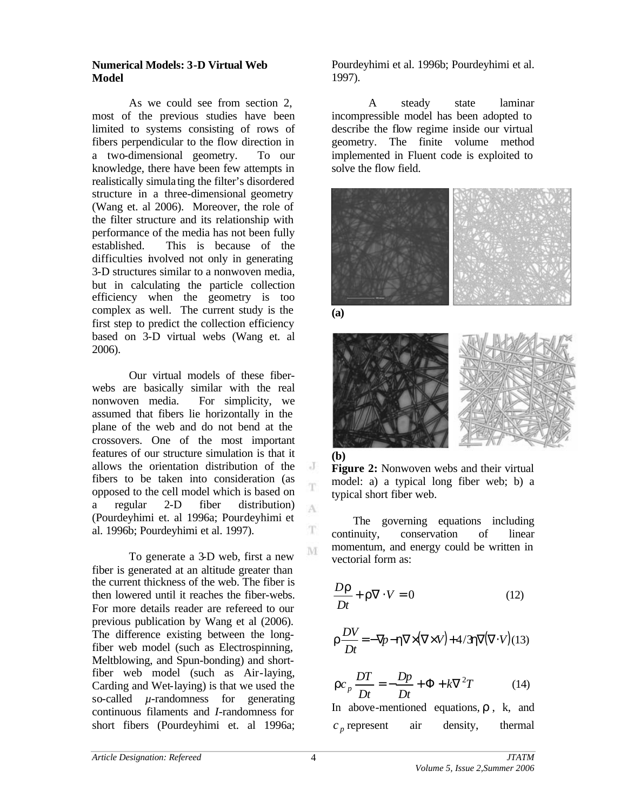### **Numerical Models: 3-D Virtual Web Model**

As we could see from section 2, most of the previous studies have been limited to systems consisting of rows of fibers perpendicular to the flow direction in a two-dimensional geometry. To our knowledge, there have been few attempts in realistically simula ting the filter's disordered structure in a three-dimensional geometry (Wang et. al 2006). Moreover, the role of the filter structure and its relationship with performance of the media has not been fully established. This is because of the difficulties involved not only in generating 3-D structures similar to a nonwoven media, but in calculating the particle collection efficiency when the geometry is too complex as well. The current study is the first step to predict the collection efficiency based on 3-D virtual webs (Wang et. al 2006).

Our virtual models of these fiberwebs are basically similar with the real nonwoven media. For simplicity, we assumed that fibers lie horizontally in the plane of the web and do not bend at the crossovers. One of the most important features of our structure simulation is that it allows the orientation distribution of the fibers to be taken into consideration (as opposed to the cell model which is based on a regular 2-D fiber distribution) (Pourdeyhimi et. al 1996a; Pourdeyhimi et al. 1996b; Pourdeyhimi et al. 1997).

To generate a 3-D web, first a new fiber is generated at an altitude greater than the current thickness of the web. The fiber is then lowered until it reaches the fiber-webs. For more details reader are refereed to our previous publication by Wang et al (2006). The difference existing between the longfiber web model (such as Electrospinning, Meltblowing, and Spun-bonding) and shortfiber web model (such as Air-laying, Carding and Wet-laying) is that we used the so-called  $\mu$ -randomness for generating continuous filaments and *I*-randomness for short fibers (Pourdeyhimi et. al 1996a;

Pourdeyhimi et al. 1996b; Pourdeyhimi et al. 1997).

A steady state laminar incompressible model has been adopted to describe the flow regime inside our virtual geometry. The finite volume method implemented in Fluent code is exploited to solve the flow field.



**(a)**

 $\cdot$ T

A

T M



**Figure 2:** Nonwoven webs and their virtual model: a) a typical long fiber web; b) a typical short fiber web.

The governing equations including continuity, conservation of linear momentum, and energy could be written in vectorial form as:

$$
\frac{D\mathbf{r}}{Dt} + \mathbf{r}\nabla \cdot V = 0 \tag{12}
$$

$$
\boldsymbol{r}\frac{DV}{Dt} = -\nabla p - \boldsymbol{h}\nabla \times (\nabla \times V) + 4/3\boldsymbol{h}\nabla(\nabla \cdot V)(13)
$$

$$
rc_p \frac{DT}{Dt} = -\frac{Dp}{Dt} + \Phi + k\nabla^2 T \tag{14}
$$

In above-mentioned equations, *r* , k, and  $c_p$  represent air density, thermal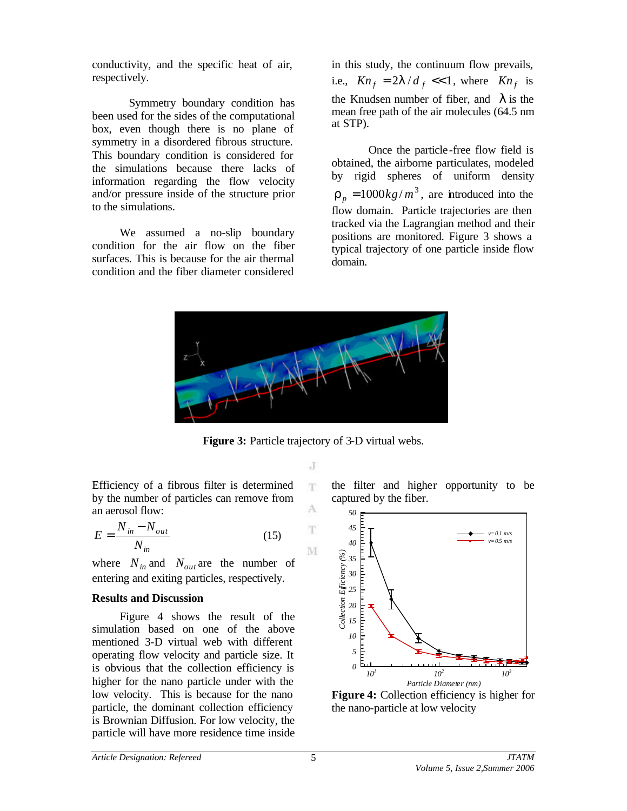conductivity, and the specific heat of air, respectively.

Symmetry boundary condition has been used for the sides of the computational box, even though there is no plane of symmetry in a disordered fibrous structure. This boundary condition is considered for the simulations because there lacks of information regarding the flow velocity and/or pressure inside of the structure prior to the simulations.

We assumed a no-slip boundary condition for the air flow on the fiber surfaces. This is because for the air thermal condition and the fiber diameter considered

in this study, the continuum flow prevails, i.e.,  $Kn_f = 2I/d_f \ll 1$ , where  $Kn_f$  is the Knudsen number of fiber, and *l* is the mean free path of the air molecules (64.5 nm at STP).

Once the particle -free flow field is obtained, the airborne particulates, modeled by rigid spheres of uniform density  $r_p = 1000 \frac{kg}{m^3}$ , are introduced into the flow domain. Particle trajectories are then tracked via the Lagrangian method and their positions are monitored. Figure 3 shows a typical trajectory of one particle inside flow domain.



**Figure 3:** Particle trajectory of 3-D virtual webs.

J T.

A T.

M

Efficiency of a fibrous filter is determined by the number of particles can remove from an aerosol flow:

$$
E = \frac{N_{in} - N_{out}}{N_{in}}\tag{15}
$$

where  $N_{in}$  and  $N_{out}$  are the number of entering and exiting particles, respectively.

# **Results and Discussion**

Figure 4 shows the result of the simulation based on one of the above mentioned 3-D virtual web with different operating flow velocity and particle size. It is obvious that the collection efficiency is higher for the nano particle under with the low velocity. This is because for the nano particle, the dominant collection efficiency is Brownian Diffusion. For low velocity, the particle will have more residence time inside the filter and higher opportunity to be captured by the fiber.



**Figure 4:** Collection efficiency is higher for the nano-particle at low velocity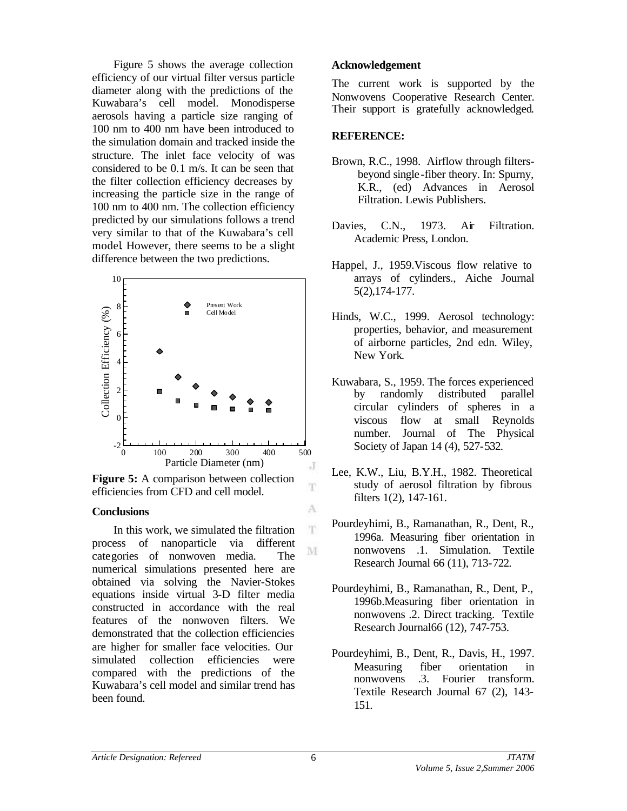Figure 5 shows the average collection efficiency of our virtual filter versus particle diameter along with the predictions of the Kuwabara's cell model. Monodisperse aerosols having a particle size ranging of 100 nm to 400 nm have been introduced to the simulation domain and tracked inside the structure. The inlet face velocity of was considered to be 0.1 m/s. It can be seen that the filter collection efficiency decreases by increasing the particle size in the range of 100 nm to 400 nm. The collection efficiency predicted by our simulations follows a trend very similar to that of the Kuwabara's cell model. However, there seems to be a slight difference between the two predictions.



**Figure 5:** A comparison between collection efficiencies from CFD and cell model.

#### **Conclusions**

In this work, we simulated the filtration process of nanoparticle via different categories of nonwoven media. The numerical simulations presented here are obtained via solving the Navier-Stokes equations inside virtual 3-D filter media constructed in accordance with the real features of the nonwoven filters. We demonstrated that the collection efficiencies are higher for smaller face velocities. Our simulated collection efficiencies were compared with the predictions of the Kuwabara's cell model and similar trend has been found.

#### **Acknowledgement**

The current work is supported by the Nonwovens Cooperative Research Center. Their support is gratefully acknowledged.

#### **REFERENCE:**

- Brown, R.C., 1998. Airflow through filtersbeyond single -fiber theory. In: Spurny, K.R., (ed) Advances in Aerosol Filtration. Lewis Publishers.
- Davies, C.N., 1973. Air Filtration. Academic Press, London.
- Happel, J., 1959.Viscous flow relative to arrays of cylinders., Aiche Journal 5(2),174-177.
- Hinds, W.C., 1999. Aerosol technology: properties, behavior, and measurement of airborne particles, 2nd edn. Wiley, New York.
- Kuwabara, S., 1959. The forces experienced by randomly distributed parallel circular cylinders of spheres in a viscous flow at small Reynolds number. Journal of The Physical Society of Japan 14 (4), 527-532.
- Lee, K.W., Liu, B.Y.H., 1982. Theoretical study of aerosol filtration by fibrous filters 1(2), 147-161.
- Pourdeyhimi, B., Ramanathan, R., Dent, R., 1996a. Measuring fiber orientation in nonwovens .1. Simulation. Textile Research Journal 66 (11), 713-722.
- Pourdeyhimi, B., Ramanathan, R., Dent, P., 1996b.Measuring fiber orientation in nonwovens .2. Direct tracking. Textile Research Journal66 (12), 747-753.
- Pourdeyhimi, B., Dent, R., Davis, H., 1997. Measuring fiber orientation in nonwovens .3. Fourier transform. Textile Research Journal 67 (2), 143- 151.

T

A T

M